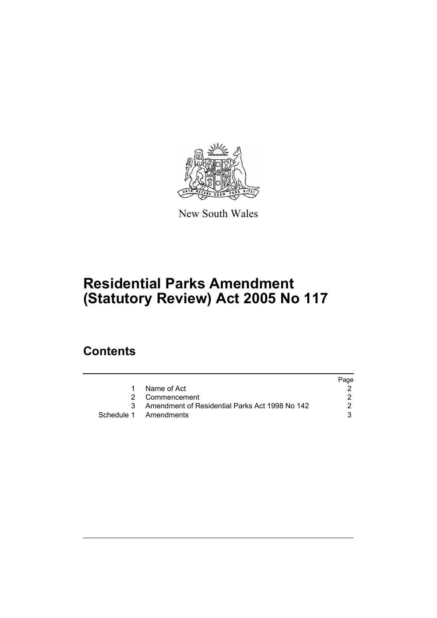

New South Wales

# **Residential Parks Amendment (Statutory Review) Act 2005 No 117**

# **Contents**

|    |                                                  | Page |
|----|--------------------------------------------------|------|
| 1. | Name of Act                                      |      |
|    | 2 Commencement                                   |      |
|    | 3 Amendment of Residential Parks Act 1998 No 142 | 2    |
|    | Schedule 1 Amendments                            |      |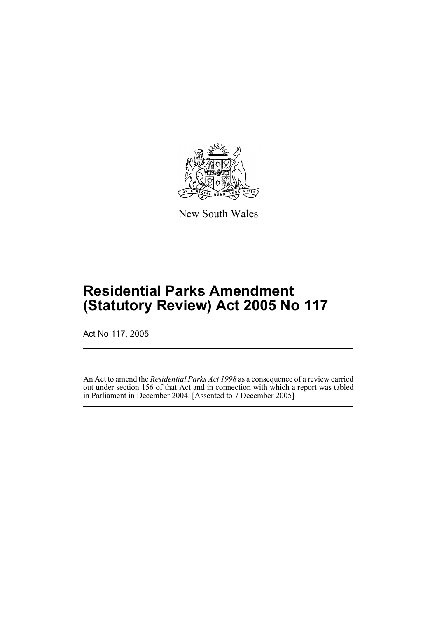

New South Wales

# **Residential Parks Amendment (Statutory Review) Act 2005 No 117**

Act No 117, 2005

An Act to amend the *Residential Parks Act 1998* as a consequence of a review carried out under section 156 of that Act and in connection with which a report was tabled in Parliament in December 2004. [Assented to 7 December 2005]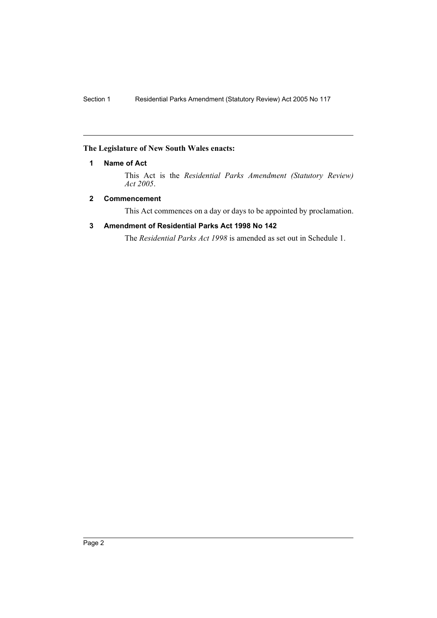## **The Legislature of New South Wales enacts:**

## **1 Name of Act**

This Act is the *Residential Parks Amendment (Statutory Review) Act 2005*.

## **2 Commencement**

This Act commences on a day or days to be appointed by proclamation.

## **3 Amendment of Residential Parks Act 1998 No 142**

The *Residential Parks Act 1998* is amended as set out in Schedule 1.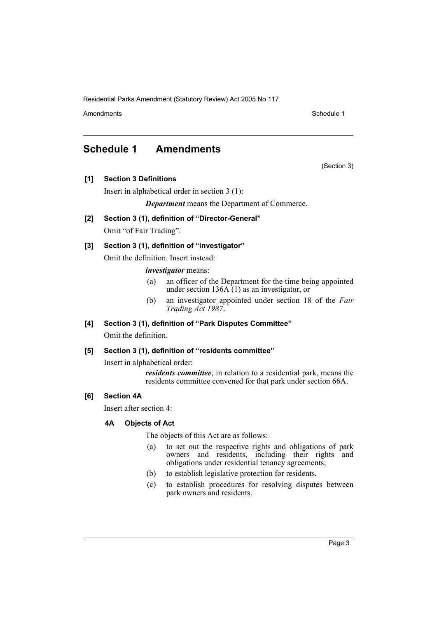Amendments **Schedule 1** and the set of the set of the set of the set of the set of the set of the set of the set of the set of the set of the set of the set of the set of the set of the set of the set of the set of the set

(Section 3)

## **Schedule 1 Amendments**

- **[1] Section 3 Definitions**
	- Insert in alphabetical order in section 3 (1):

*Department* means the Department of Commerce.

- **[2] Section 3 (1), definition of "Director-General"** Omit "of Fair Trading".
- **[3] Section 3 (1), definition of "investigator"**

Omit the definition. Insert instead:

## *investigator* means:

- (a) an officer of the Department for the time being appointed under section  $136A(1)$  as an investigator, or
- (b) an investigator appointed under section 18 of the *Fair Trading Act 1987*.

## **[4] Section 3 (1), definition of "Park Disputes Committee"**

Omit the definition.

## **[5] Section 3 (1), definition of "residents committee"**

Insert in alphabetical order:

*residents committee*, in relation to a residential park, means the residents committee convened for that park under section 66A.

## **[6] Section 4A**

Insert after section 4:

## **4A Objects of Act**

The objects of this Act are as follows:

- (a) to set out the respective rights and obligations of park owners and residents, including their rights and obligations under residential tenancy agreements,
- (b) to establish legislative protection for residents,
- (c) to establish procedures for resolving disputes between park owners and residents.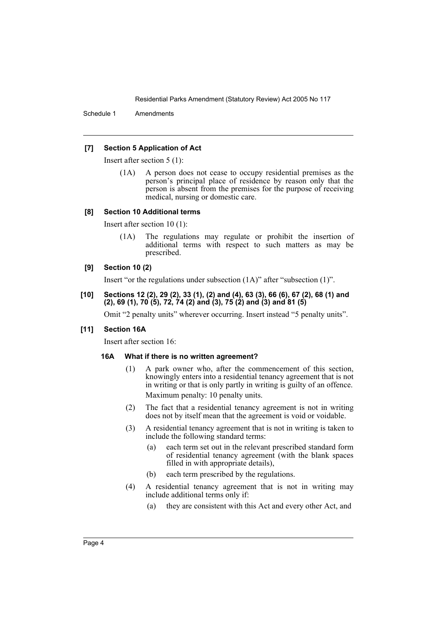Schedule 1 Amendments

### **[7] Section 5 Application of Act**

Insert after section 5 (1):

(1A) A person does not cease to occupy residential premises as the person's principal place of residence by reason only that the person is absent from the premises for the purpose of receiving medical, nursing or domestic care.

#### **[8] Section 10 Additional terms**

Insert after section 10 (1):

(1A) The regulations may regulate or prohibit the insertion of additional terms with respect to such matters as may be prescribed.

#### **[9] Section 10 (2)**

Insert "or the regulations under subsection (1A)" after "subsection (1)".

**[10] Sections 12 (2), 29 (2), 33 (1), (2) and (4), 63 (3), 66 (6), 67 (2), 68 (1) and (2), 69 (1), 70 (5), 72, 74 (2) and (3), 75 (2) and (3) and 81 (5)**

Omit "2 penalty units" wherever occurring. Insert instead "5 penalty units".

#### **[11] Section 16A**

Insert after section 16:

#### **16A What if there is no written agreement?**

- (1) A park owner who, after the commencement of this section, knowingly enters into a residential tenancy agreement that is not in writing or that is only partly in writing is guilty of an offence. Maximum penalty: 10 penalty units.
- (2) The fact that a residential tenancy agreement is not in writing does not by itself mean that the agreement is void or voidable.
- (3) A residential tenancy agreement that is not in writing is taken to include the following standard terms:
	- (a) each term set out in the relevant prescribed standard form of residential tenancy agreement (with the blank spaces filled in with appropriate details),
	- (b) each term prescribed by the regulations.
- (4) A residential tenancy agreement that is not in writing may include additional terms only if:
	- (a) they are consistent with this Act and every other Act, and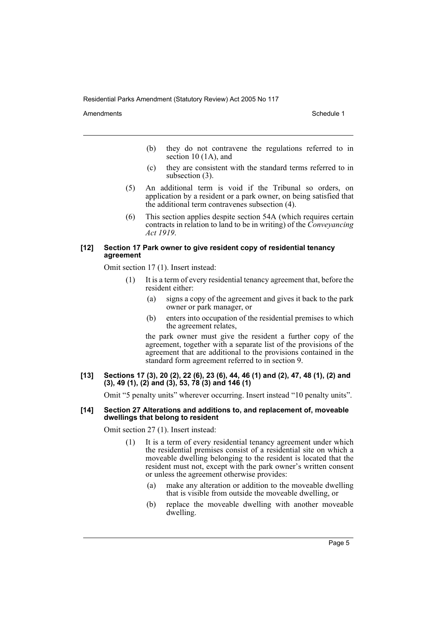Amendments **Amendments** Schedule 1

- (b) they do not contravene the regulations referred to in section 10 (1A), and
- (c) they are consistent with the standard terms referred to in subsection (3).
- (5) An additional term is void if the Tribunal so orders, on application by a resident or a park owner, on being satisfied that the additional term contravenes subsection (4).
- (6) This section applies despite section 54A (which requires certain contracts in relation to land to be in writing) of the *Conveyancing Act 1919*.

#### **[12] Section 17 Park owner to give resident copy of residential tenancy agreement**

Omit section 17 (1). Insert instead:

- (1) It is a term of every residential tenancy agreement that, before the resident either:
	- (a) signs a copy of the agreement and gives it back to the park owner or park manager, or
	- (b) enters into occupation of the residential premises to which the agreement relates,

the park owner must give the resident a further copy of the agreement, together with a separate list of the provisions of the agreement that are additional to the provisions contained in the standard form agreement referred to in section 9.

**[13] Sections 17 (3), 20 (2), 22 (6), 23 (6), 44, 46 (1) and (2), 47, 48 (1), (2) and (3), 49 (1), (2) and (3), 53, 78 (3) and 146 (1)**

Omit "5 penalty units" wherever occurring. Insert instead "10 penalty units".

#### **[14] Section 27 Alterations and additions to, and replacement of, moveable dwellings that belong to resident**

Omit section 27 (1). Insert instead:

- (1) It is a term of every residential tenancy agreement under which the residential premises consist of a residential site on which a moveable dwelling belonging to the resident is located that the resident must not, except with the park owner's written consent or unless the agreement otherwise provides:
	- (a) make any alteration or addition to the moveable dwelling that is visible from outside the moveable dwelling, or
	- (b) replace the moveable dwelling with another moveable dwelling.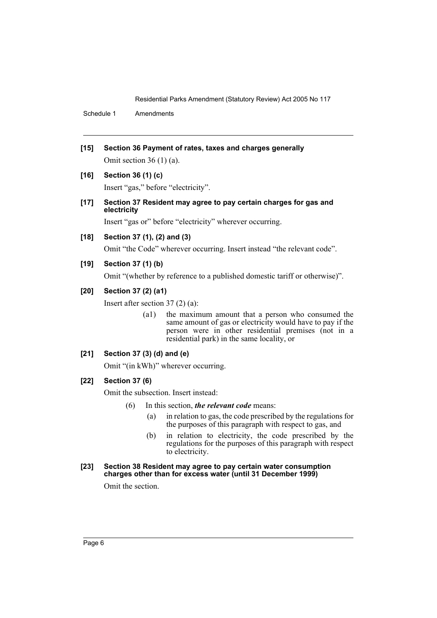Schedule 1 Amendments

- **[15] Section 36 Payment of rates, taxes and charges generally** Omit section 36 (1) (a).
- **[16] Section 36 (1) (c)**

Insert "gas," before "electricity".

**[17] Section 37 Resident may agree to pay certain charges for gas and electricity**

Insert "gas or" before "electricity" wherever occurring.

## **[18] Section 37 (1), (2) and (3)**

Omit "the Code" wherever occurring. Insert instead "the relevant code".

## **[19] Section 37 (1) (b)**

Omit "(whether by reference to a published domestic tariff or otherwise)".

## **[20] Section 37 (2) (a1)**

Insert after section 37 (2) (a):

(a1) the maximum amount that a person who consumed the same amount of gas or electricity would have to pay if the person were in other residential premises (not in a residential park) in the same locality, or

## **[21] Section 37 (3) (d) and (e)**

Omit "(in kWh)" wherever occurring.

#### **[22] Section 37 (6)**

Omit the subsection. Insert instead:

- (6) In this section, *the relevant code* means:
	- (a) in relation to gas, the code prescribed by the regulations for the purposes of this paragraph with respect to gas, and
	- (b) in relation to electricity, the code prescribed by the regulations for the purposes of this paragraph with respect to electricity.

#### **[23] Section 38 Resident may agree to pay certain water consumption charges other than for excess water (until 31 December 1999)**

Omit the section.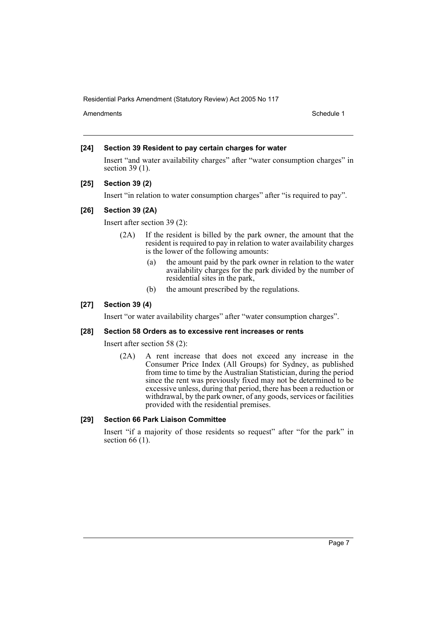Amendments **Schedule 1** and the set of the set of the set of the set of the set of the set of the set of the set of the set of the set of the set of the set of the set of the set of the set of the set of the set of the set

## **[24] Section 39 Resident to pay certain charges for water**

Insert "and water availability charges" after "water consumption charges" in section 39 (1).

## **[25] Section 39 (2)**

Insert "in relation to water consumption charges" after "is required to pay".

#### **[26] Section 39 (2A)**

Insert after section 39 (2):

- (2A) If the resident is billed by the park owner, the amount that the resident is required to pay in relation to water availability charges is the lower of the following amounts:
	- (a) the amount paid by the park owner in relation to the water availability charges for the park divided by the number of residential sites in the park,
	- (b) the amount prescribed by the regulations.

#### **[27] Section 39 (4)**

Insert "or water availability charges" after "water consumption charges".

#### **[28] Section 58 Orders as to excessive rent increases or rents**

Insert after section 58 (2):

(2A) A rent increase that does not exceed any increase in the Consumer Price Index (All Groups) for Sydney, as published from time to time by the Australian Statistician, during the period since the rent was previously fixed may not be determined to be excessive unless, during that period, there has been a reduction or withdrawal, by the park owner, of any goods, services or facilities provided with the residential premises.

#### **[29] Section 66 Park Liaison Committee**

Insert "if a majority of those residents so request" after "for the park" in section 66 (1).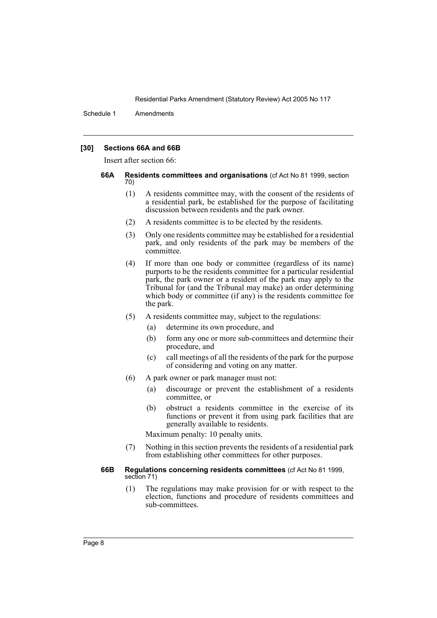Schedule 1 Amendments

### **[30] Sections 66A and 66B**

Insert after section 66:

- **66A Residents committees and organisations** (cf Act No 81 1999, section 70)
	- (1) A residents committee may, with the consent of the residents of a residential park, be established for the purpose of facilitating discussion between residents and the park owner.
	- (2) A residents committee is to be elected by the residents.
	- (3) Only one residents committee may be established for a residential park, and only residents of the park may be members of the committee.
	- (4) If more than one body or committee (regardless of its name) purports to be the residents committee for a particular residential park, the park owner or a resident of the park may apply to the Tribunal for (and the Tribunal may make) an order determining which body or committee (if any) is the residents committee for the park.
	- (5) A residents committee may, subject to the regulations:
		- (a) determine its own procedure, and
		- (b) form any one or more sub-committees and determine their procedure, and
		- (c) call meetings of all the residents of the park for the purpose of considering and voting on any matter.
	- (6) A park owner or park manager must not:
		- (a) discourage or prevent the establishment of a residents committee, or
		- (b) obstruct a residents committee in the exercise of its functions or prevent it from using park facilities that are generally available to residents.

Maximum penalty: 10 penalty units.

(7) Nothing in this section prevents the residents of a residential park from establishing other committees for other purposes.

#### **66B Regulations concerning residents committees** (cf Act No 81 1999, section 71)

(1) The regulations may make provision for or with respect to the election, functions and procedure of residents committees and sub-committees.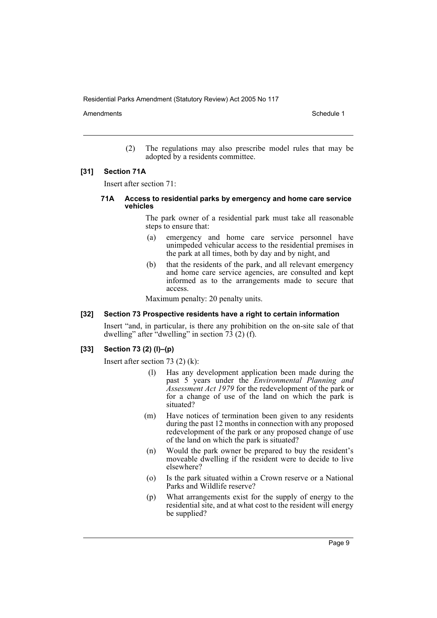Amendments **Amendments** Schedule 1

(2) The regulations may also prescribe model rules that may be adopted by a residents committee.

#### **[31] Section 71A**

Insert after section 71:

#### **71A Access to residential parks by emergency and home care service vehicles**

The park owner of a residential park must take all reasonable steps to ensure that:

- (a) emergency and home care service personnel have unimpeded vehicular access to the residential premises in the park at all times, both by day and by night, and
- (b) that the residents of the park, and all relevant emergency and home care service agencies, are consulted and kept informed as to the arrangements made to secure that access.

Maximum penalty: 20 penalty units.

#### **[32] Section 73 Prospective residents have a right to certain information**

Insert "and, in particular, is there any prohibition on the on-site sale of that dwelling" after "dwelling" in section  $\overline{73}$  (2) (f).

#### **[33] Section 73 (2) (l)–(p)**

Insert after section 73 (2) (k):

- (l) Has any development application been made during the past 5 years under the *Environmental Planning and Assessment Act 1979* for the redevelopment of the park or for a change of use of the land on which the park is situated?
- (m) Have notices of termination been given to any residents during the past 12 months in connection with any proposed redevelopment of the park or any proposed change of use of the land on which the park is situated?
- (n) Would the park owner be prepared to buy the resident's moveable dwelling if the resident were to decide to live elsewhere?
- (o) Is the park situated within a Crown reserve or a National Parks and Wildlife reserve?
- (p) What arrangements exist for the supply of energy to the residential site, and at what cost to the resident will energy be supplied?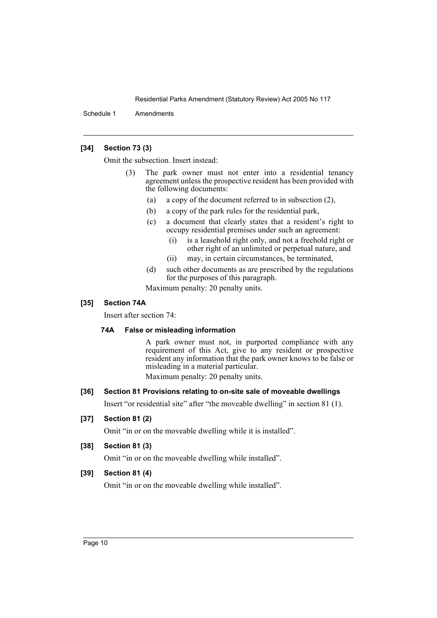Schedule 1 Amendments

## **[34] Section 73 (3)**

Omit the subsection. Insert instead:

- (3) The park owner must not enter into a residential tenancy agreement unless the prospective resident has been provided with the following documents:
	- (a) a copy of the document referred to in subsection (2),
	- (b) a copy of the park rules for the residential park,
	- (c) a document that clearly states that a resident's right to occupy residential premises under such an agreement:
		- (i) is a leasehold right only, and not a freehold right or other right of an unlimited or perpetual nature, and
		- (ii) may, in certain circumstances, be terminated,
	- (d) such other documents as are prescribed by the regulations for the purposes of this paragraph.

Maximum penalty: 20 penalty units.

## **[35] Section 74A**

Insert after section 74:

#### **74A False or misleading information**

A park owner must not, in purported compliance with any requirement of this Act, give to any resident or prospective resident any information that the park owner knows to be false or misleading in a material particular.

Maximum penalty: 20 penalty units.

## **[36] Section 81 Provisions relating to on-site sale of moveable dwellings**

Insert "or residential site" after "the moveable dwelling" in section 81 (1).

## **[37] Section 81 (2)**

Omit "in or on the moveable dwelling while it is installed".

#### **[38] Section 81 (3)**

Omit "in or on the moveable dwelling while installed".

## **[39] Section 81 (4)**

Omit "in or on the moveable dwelling while installed".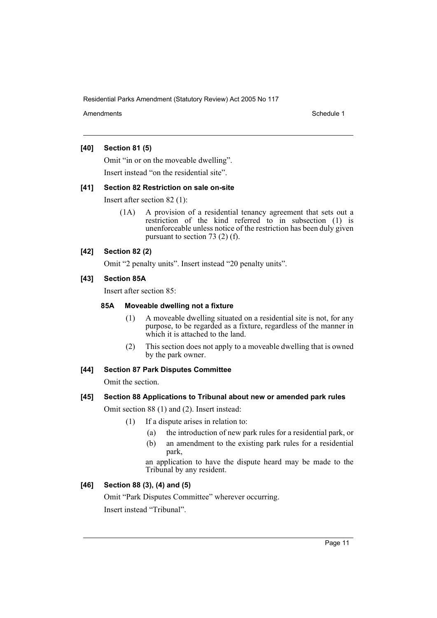Amendments **Schedule 1** and the set of the set of the set of the set of the set of the set of the set of the set of the set of the set of the set of the set of the set of the set of the set of the set of the set of the set

## **[40] Section 81 (5)**

Omit "in or on the moveable dwelling".

Insert instead "on the residential site".

## **[41] Section 82 Restriction on sale on-site**

Insert after section 82 (1):

(1A) A provision of a residential tenancy agreement that sets out a restriction of the kind referred to in subsection (1) is unenforceable unless notice of the restriction has been duly given pursuant to section 73 (2) (f).

## **[42] Section 82 (2)**

Omit "2 penalty units". Insert instead "20 penalty units".

## **[43] Section 85A**

Insert after section 85:

#### **85A Moveable dwelling not a fixture**

- (1) A moveable dwelling situated on a residential site is not, for any purpose, to be regarded as a fixture, regardless of the manner in which it is attached to the land.
- (2) This section does not apply to a moveable dwelling that is owned by the park owner.

## **[44] Section 87 Park Disputes Committee**

Omit the section.

## **[45] Section 88 Applications to Tribunal about new or amended park rules**

Omit section 88 (1) and (2). Insert instead:

- (1) If a dispute arises in relation to:
	- (a) the introduction of new park rules for a residential park, or
	- (b) an amendment to the existing park rules for a residential park,

an application to have the dispute heard may be made to the Tribunal by any resident.

## **[46] Section 88 (3), (4) and (5)**

Omit "Park Disputes Committee" wherever occurring.

Insert instead "Tribunal".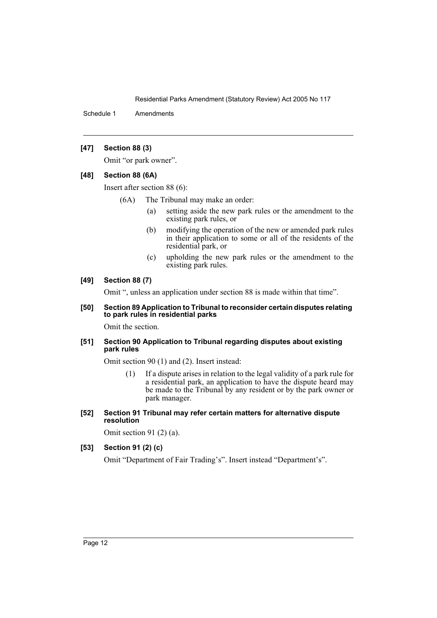Schedule 1 Amendments

## **[47] Section 88 (3)**

Omit "or park owner".

#### **[48] Section 88 (6A)**

Insert after section 88 (6):

- (6A) The Tribunal may make an order:
	- (a) setting aside the new park rules or the amendment to the existing park rules, or
	- (b) modifying the operation of the new or amended park rules in their application to some or all of the residents of the residential park, or
	- (c) upholding the new park rules or the amendment to the existing park rules.

#### **[49] Section 88 (7)**

Omit ", unless an application under section 88 is made within that time".

#### **[50] Section 89 Application to Tribunal to reconsider certain disputes relating to park rules in residential parks**

Omit the section.

## **[51] Section 90 Application to Tribunal regarding disputes about existing park rules**

Omit section 90 (1) and (2). Insert instead:

- (1) If a dispute arises in relation to the legal validity of a park rule for a residential park, an application to have the dispute heard may be made to the Tribunal by any resident or by the park owner or park manager.
- **[52] Section 91 Tribunal may refer certain matters for alternative dispute resolution**

Omit section 91 (2) (a).

## **[53] Section 91 (2) (c)**

Omit "Department of Fair Trading's". Insert instead "Department's".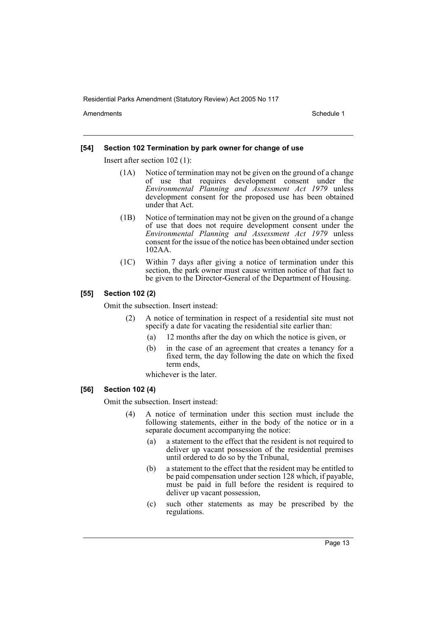Amendments **Amendments** Schedule 1

#### **[54] Section 102 Termination by park owner for change of use**

Insert after section 102 (1):

- (1A) Notice of termination may not be given on the ground of a change of use that requires development consent under the *Environmental Planning and Assessment Act 1979* unless development consent for the proposed use has been obtained under that Act.
- (1B) Notice of termination may not be given on the ground of a change of use that does not require development consent under the *Environmental Planning and Assessment Act 1979* unless consent for the issue of the notice has been obtained under section 102AA.
- (1C) Within 7 days after giving a notice of termination under this section, the park owner must cause written notice of that fact to be given to the Director-General of the Department of Housing.

#### **[55] Section 102 (2)**

Omit the subsection. Insert instead:

- (2) A notice of termination in respect of a residential site must not specify a date for vacating the residential site earlier than:
	- (a) 12 months after the day on which the notice is given, or
	- (b) in the case of an agreement that creates a tenancy for a fixed term, the day following the date on which the fixed term ends,

whichever is the later.

#### **[56] Section 102 (4)**

Omit the subsection. Insert instead:

- (4) A notice of termination under this section must include the following statements, either in the body of the notice or in a separate document accompanying the notice:
	- (a) a statement to the effect that the resident is not required to deliver up vacant possession of the residential premises until ordered to do so by the Tribunal,
	- (b) a statement to the effect that the resident may be entitled to be paid compensation under section 128 which, if payable, must be paid in full before the resident is required to deliver up vacant possession,
	- (c) such other statements as may be prescribed by the regulations.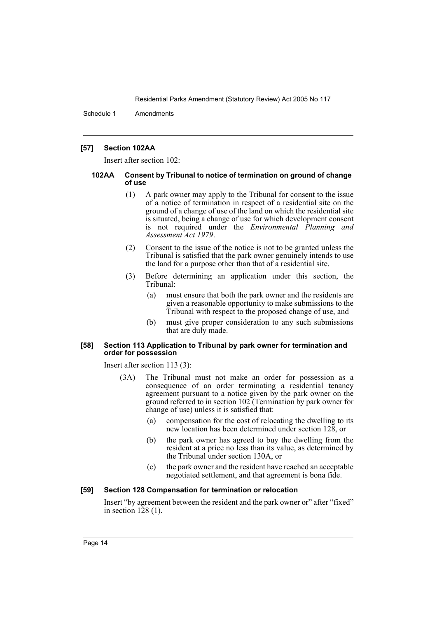Schedule 1 Amendments

#### **[57] Section 102AA**

Insert after section 102:

#### **102AA Consent by Tribunal to notice of termination on ground of change of use**

- (1) A park owner may apply to the Tribunal for consent to the issue of a notice of termination in respect of a residential site on the ground of a change of use of the land on which the residential site is situated, being a change of use for which development consent is not required under the *Environmental Planning and Assessment Act 1979*.
- (2) Consent to the issue of the notice is not to be granted unless the Tribunal is satisfied that the park owner genuinely intends to use the land for a purpose other than that of a residential site.
- (3) Before determining an application under this section, the Tribunal:
	- (a) must ensure that both the park owner and the residents are given a reasonable opportunity to make submissions to the Tribunal with respect to the proposed change of use, and
	- (b) must give proper consideration to any such submissions that are duly made.

#### **[58] Section 113 Application to Tribunal by park owner for termination and order for possession**

Insert after section 113 (3):

- (3A) The Tribunal must not make an order for possession as a consequence of an order terminating a residential tenancy agreement pursuant to a notice given by the park owner on the ground referred to in section 102 (Termination by park owner for change of use) unless it is satisfied that:
	- (a) compensation for the cost of relocating the dwelling to its new location has been determined under section 128, or
	- (b) the park owner has agreed to buy the dwelling from the resident at a price no less than its value, as determined by the Tribunal under section 130A, or
	- (c) the park owner and the resident have reached an acceptable negotiated settlement, and that agreement is bona fide.

#### **[59] Section 128 Compensation for termination or relocation**

Insert "by agreement between the resident and the park owner or" after "fixed" in section  $128(1)$ .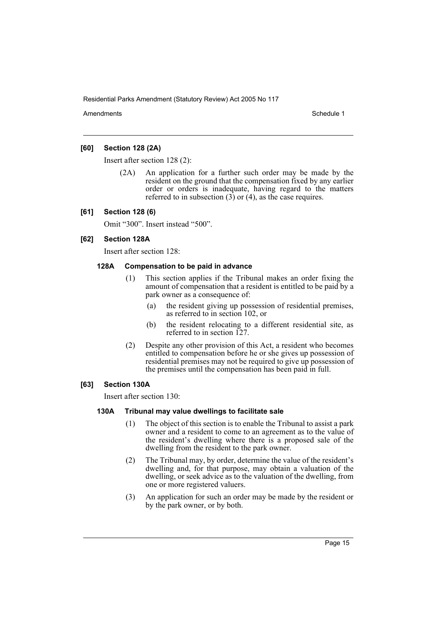Amendments **Amendments** Schedule 1

## **[60] Section 128 (2A)**

Insert after section 128 (2):

(2A) An application for a further such order may be made by the resident on the ground that the compensation fixed by any earlier order or orders is inadequate, having regard to the matters referred to in subsection  $(3)$  or  $(4)$ , as the case requires.

## **[61] Section 128 (6)**

Omit "300". Insert instead "500".

## **[62] Section 128A**

Insert after section 128:

## **128A Compensation to be paid in advance**

- (1) This section applies if the Tribunal makes an order fixing the amount of compensation that a resident is entitled to be paid by a park owner as a consequence of:
	- (a) the resident giving up possession of residential premises, as referred to in section 102, or
	- (b) the resident relocating to a different residential site, as referred to in section 127.
- (2) Despite any other provision of this Act, a resident who becomes entitled to compensation before he or she gives up possession of residential premises may not be required to give up possession of the premises until the compensation has been paid in full.

#### **[63] Section 130A**

Insert after section 130:

#### **130A Tribunal may value dwellings to facilitate sale**

- (1) The object of this section is to enable the Tribunal to assist a park owner and a resident to come to an agreement as to the value of the resident's dwelling where there is a proposed sale of the dwelling from the resident to the park owner.
- (2) The Tribunal may, by order, determine the value of the resident's dwelling and, for that purpose, may obtain a valuation of the dwelling, or seek advice as to the valuation of the dwelling, from one or more registered valuers.
- (3) An application for such an order may be made by the resident or by the park owner, or by both.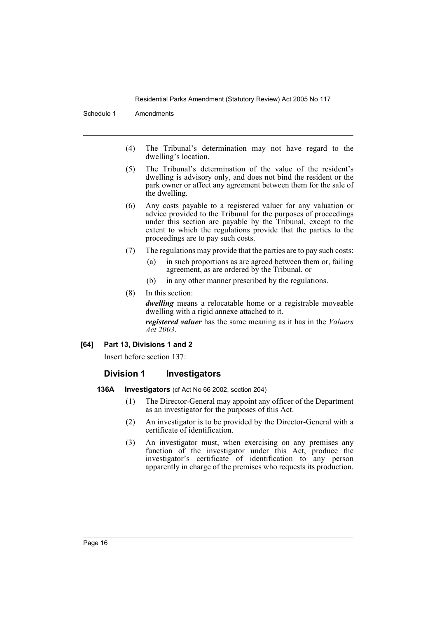Schedule 1 Amendments

- (4) The Tribunal's determination may not have regard to the dwelling's location.
- (5) The Tribunal's determination of the value of the resident's dwelling is advisory only, and does not bind the resident or the park owner or affect any agreement between them for the sale of the dwelling.
- (6) Any costs payable to a registered valuer for any valuation or advice provided to the Tribunal for the purposes of proceedings under this section are payable by the Tribunal, except to the extent to which the regulations provide that the parties to the proceedings are to pay such costs.
- (7) The regulations may provide that the parties are to pay such costs:
	- (a) in such proportions as are agreed between them or, failing agreement, as are ordered by the Tribunal, or
	- (b) in any other manner prescribed by the regulations.
- (8) In this section:

*dwelling* means a relocatable home or a registrable moveable dwelling with a rigid annexe attached to it.

*registered valuer* has the same meaning as it has in the *Valuers Act 2003*.

## **[64] Part 13, Divisions 1 and 2**

Insert before section 137:

## **Division 1 Investigators**

- **136A Investigators** (cf Act No 66 2002, section 204)
	- (1) The Director-General may appoint any officer of the Department as an investigator for the purposes of this Act.
	- (2) An investigator is to be provided by the Director-General with a certificate of identification.
	- (3) An investigator must, when exercising on any premises any function of the investigator under this Act, produce the investigator's certificate of identification to any person apparently in charge of the premises who requests its production.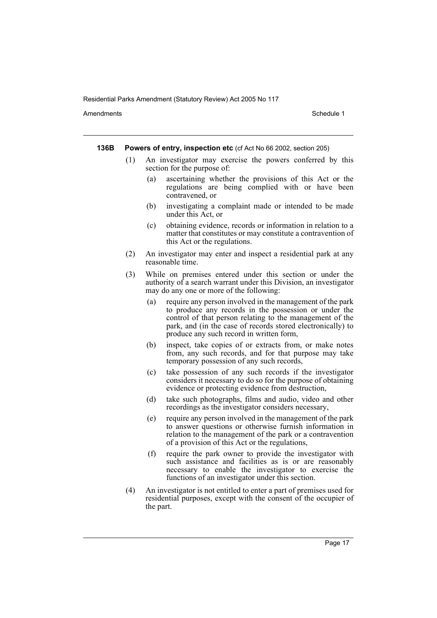Amendments **Amendments** Schedule 1

**136B Powers of entry, inspection etc** (cf Act No 66 2002, section 205)

- (1) An investigator may exercise the powers conferred by this section for the purpose of:
	- (a) ascertaining whether the provisions of this Act or the regulations are being complied with or have been contravened, or
	- (b) investigating a complaint made or intended to be made under this Act, or
	- (c) obtaining evidence, records or information in relation to a matter that constitutes or may constitute a contravention of this Act or the regulations.
- (2) An investigator may enter and inspect a residential park at any reasonable time.
- (3) While on premises entered under this section or under the authority of a search warrant under this Division, an investigator may do any one or more of the following:
	- (a) require any person involved in the management of the park to produce any records in the possession or under the control of that person relating to the management of the park, and (in the case of records stored electronically) to produce any such record in written form,
	- (b) inspect, take copies of or extracts from, or make notes from, any such records, and for that purpose may take temporary possession of any such records,
	- (c) take possession of any such records if the investigator considers it necessary to do so for the purpose of obtaining evidence or protecting evidence from destruction,
	- (d) take such photographs, films and audio, video and other recordings as the investigator considers necessary,
	- (e) require any person involved in the management of the park to answer questions or otherwise furnish information in relation to the management of the park or a contravention of a provision of this Act or the regulations,
	- (f) require the park owner to provide the investigator with such assistance and facilities as is or are reasonably necessary to enable the investigator to exercise the functions of an investigator under this section.
- (4) An investigator is not entitled to enter a part of premises used for residential purposes, except with the consent of the occupier of the part.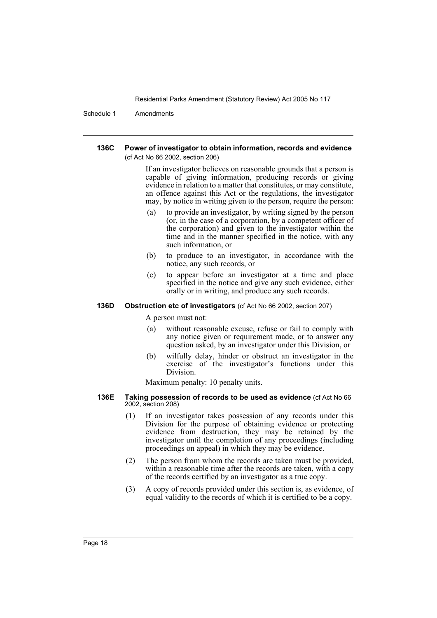Schedule 1 Amendments

#### **136C Power of investigator to obtain information, records and evidence**  (cf Act No 66 2002, section 206)

If an investigator believes on reasonable grounds that a person is capable of giving information, producing records or giving evidence in relation to a matter that constitutes, or may constitute, an offence against this Act or the regulations, the investigator may, by notice in writing given to the person, require the person:

- (a) to provide an investigator, by writing signed by the person (or, in the case of a corporation, by a competent officer of the corporation) and given to the investigator within the time and in the manner specified in the notice, with any such information, or
- (b) to produce to an investigator, in accordance with the notice, any such records, or
- (c) to appear before an investigator at a time and place specified in the notice and give any such evidence, either orally or in writing, and produce any such records.

#### **136D Obstruction etc of investigators** (cf Act No 66 2002, section 207)

A person must not:

- (a) without reasonable excuse, refuse or fail to comply with any notice given or requirement made, or to answer any question asked, by an investigator under this Division, or
- (b) wilfully delay, hinder or obstruct an investigator in the exercise of the investigator's functions under this Division.

Maximum penalty: 10 penalty units.

#### **136E Taking possession of records to be used as evidence** (cf Act No 66 2002, section 208)

- (1) If an investigator takes possession of any records under this Division for the purpose of obtaining evidence or protecting evidence from destruction, they may be retained by the investigator until the completion of any proceedings (including proceedings on appeal) in which they may be evidence.
- (2) The person from whom the records are taken must be provided, within a reasonable time after the records are taken, with a copy of the records certified by an investigator as a true copy.
- (3) A copy of records provided under this section is, as evidence, of equal validity to the records of which it is certified to be a copy.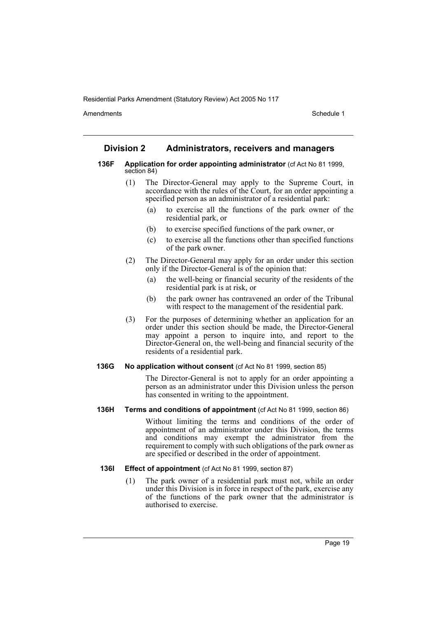Amendments **Amendments** Schedule 1

## **Division 2 Administrators, receivers and managers**

- **136F Application for order appointing administrator** (cf Act No 81 1999, section 84)
	- (1) The Director-General may apply to the Supreme Court, in accordance with the rules of the Court, for an order appointing a specified person as an administrator of a residential park:
		- (a) to exercise all the functions of the park owner of the residential park, or
		- (b) to exercise specified functions of the park owner, or
		- (c) to exercise all the functions other than specified functions of the park owner.
	- (2) The Director-General may apply for an order under this section only if the Director-General is of the opinion that:
		- (a) the well-being or financial security of the residents of the residential park is at risk, or
		- (b) the park owner has contravened an order of the Tribunal with respect to the management of the residential park.
	- (3) For the purposes of determining whether an application for an order under this section should be made, the Director-General may appoint a person to inquire into, and report to the Director-General on, the well-being and financial security of the residents of a residential park.

#### **136G No application without consent** (cf Act No 81 1999, section 85)

The Director-General is not to apply for an order appointing a person as an administrator under this Division unless the person has consented in writing to the appointment.

#### **136H Terms and conditions of appointment** (cf Act No 81 1999, section 86)

Without limiting the terms and conditions of the order of appointment of an administrator under this Division, the terms and conditions may exempt the administrator from the requirement to comply with such obligations of the park owner as are specified or described in the order of appointment.

#### **136I Effect of appointment** (cf Act No 81 1999, section 87)

(1) The park owner of a residential park must not, while an order under this Division is in force in respect of the park, exercise any of the functions of the park owner that the administrator is authorised to exercise.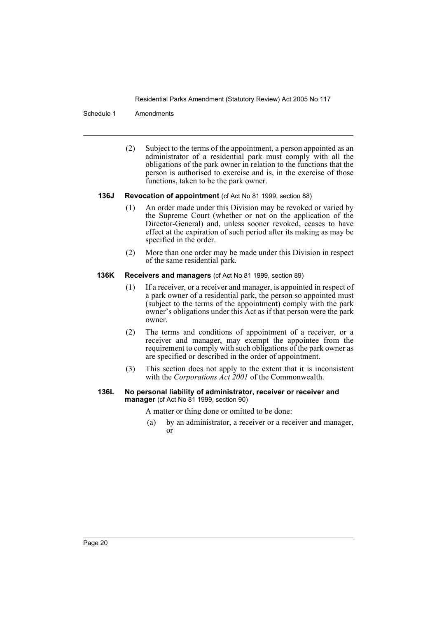#### Schedule 1 Amendments

(2) Subject to the terms of the appointment, a person appointed as an administrator of a residential park must comply with all the obligations of the park owner in relation to the functions that the person is authorised to exercise and is, in the exercise of those functions, taken to be the park owner.

#### **136J Revocation of appointment** (cf Act No 81 1999, section 88)

- (1) An order made under this Division may be revoked or varied by the Supreme Court (whether or not on the application of the Director-General) and, unless sooner revoked, ceases to have effect at the expiration of such period after its making as may be specified in the order.
- (2) More than one order may be made under this Division in respect of the same residential park.

#### **136K Receivers and managers** (cf Act No 81 1999, section 89)

- (1) If a receiver, or a receiver and manager, is appointed in respect of a park owner of a residential park, the person so appointed must (subject to the terms of the appointment) comply with the park owner's obligations under this Act as if that person were the park owner.
- (2) The terms and conditions of appointment of a receiver, or a receiver and manager, may exempt the appointee from the requirement to comply with such obligations of the park owner as are specified or described in the order of appointment.
- (3) This section does not apply to the extent that it is inconsistent with the *Corporations Act 2001* of the Commonwealth.

#### **136L No personal liability of administrator, receiver or receiver and manager** (cf Act No 81 1999, section 90)

A matter or thing done or omitted to be done:

(a) by an administrator, a receiver or a receiver and manager, or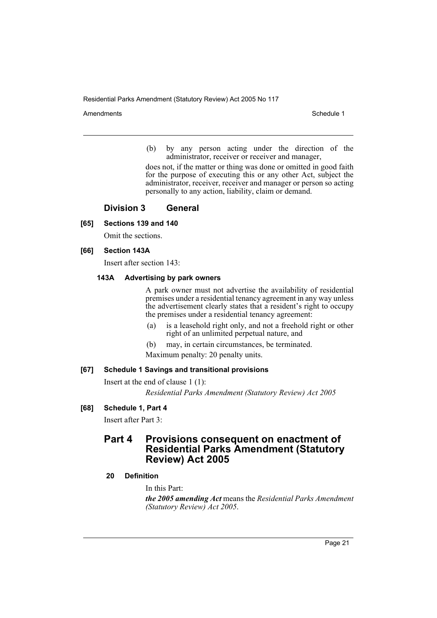Amendments **Schedule 1** and the set of the set of the set of the set of the set of the set of the set of the set of the set of the set of the set of the set of the set of the set of the set of the set of the set of the set

(b) by any person acting under the direction of the administrator, receiver or receiver and manager,

does not, if the matter or thing was done or omitted in good faith for the purpose of executing this or any other Act, subject the administrator, receiver, receiver and manager or person so acting personally to any action, liability, claim or demand.

## **Division 3 General**

## **[65] Sections 139 and 140**

Omit the sections.

#### **[66] Section 143A**

Insert after section 143:

#### **143A Advertising by park owners**

A park owner must not advertise the availability of residential premises under a residential tenancy agreement in any way unless the advertisement clearly states that a resident's right to occupy the premises under a residential tenancy agreement:

- (a) is a leasehold right only, and not a freehold right or other right of an unlimited perpetual nature, and
- (b) may, in certain circumstances, be terminated. Maximum penalty: 20 penalty units.

## **[67] Schedule 1 Savings and transitional provisions**

Insert at the end of clause 1 (1):

*Residential Parks Amendment (Statutory Review) Act 2005*

#### **[68] Schedule 1, Part 4**

Insert after Part 3:

## **Part 4 Provisions consequent on enactment of Residential Parks Amendment (Statutory Review) Act 2005**

#### **20 Definition**

In this Part:

*the 2005 amending Act* means the *Residential Parks Amendment (Statutory Review) Act 2005*.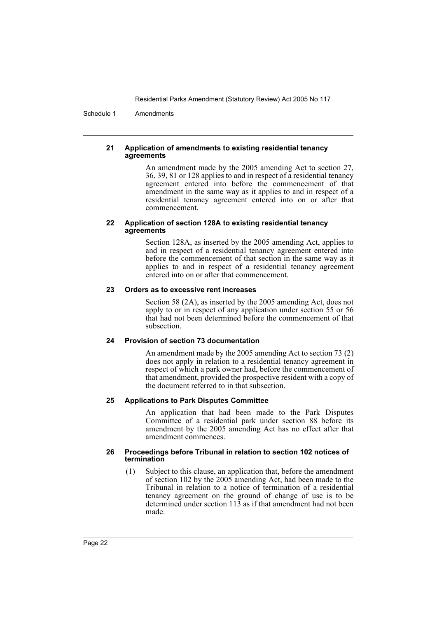Schedule 1 Amendments

#### **21 Application of amendments to existing residential tenancy agreements**

An amendment made by the 2005 amending Act to section 27, 36, 39, 81 or 128 applies to and in respect of a residential tenancy agreement entered into before the commencement of that amendment in the same way as it applies to and in respect of a residential tenancy agreement entered into on or after that commencement.

#### **22 Application of section 128A to existing residential tenancy agreements**

Section 128A, as inserted by the 2005 amending Act, applies to and in respect of a residential tenancy agreement entered into before the commencement of that section in the same way as it applies to and in respect of a residential tenancy agreement entered into on or after that commencement.

#### **23 Orders as to excessive rent increases**

Section 58 (2A), as inserted by the 2005 amending Act, does not apply to or in respect of any application under section 55 or 56 that had not been determined before the commencement of that subsection.

## **24 Provision of section 73 documentation**

An amendment made by the 2005 amending Act to section 73 (2) does not apply in relation to a residential tenancy agreement in respect of which a park owner had, before the commencement of that amendment, provided the prospective resident with a copy of the document referred to in that subsection.

#### **25 Applications to Park Disputes Committee**

An application that had been made to the Park Disputes Committee of a residential park under section 88 before its amendment by the 2005 amending Act has no effect after that amendment commences.

#### **26 Proceedings before Tribunal in relation to section 102 notices of termination**

(1) Subject to this clause, an application that, before the amendment of section 102 by the 2005 amending Act, had been made to the Tribunal in relation to a notice of termination of a residential tenancy agreement on the ground of change of use is to be determined under section 113 as if that amendment had not been made.